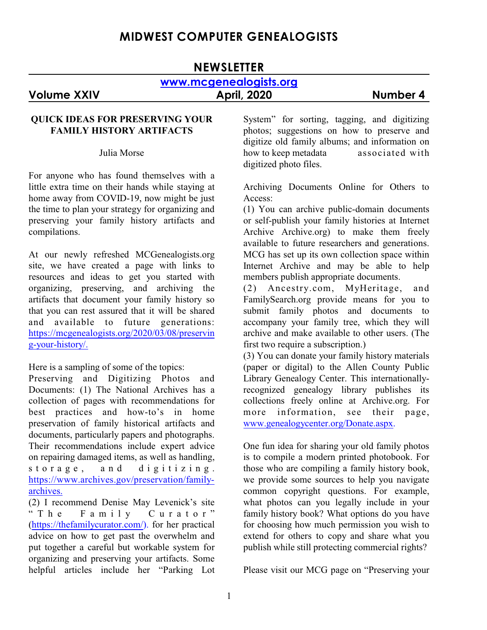# **MIDWEST COMPUTER GENEALOGISTS**

# **NEWSLETTER [www.mcgenealogists.org](http://www.foxwoodsprings.org) Volume XXIV April, 2020 Number 4**

#### **QUICK IDEAS FOR PRESERVING YOUR FAMILY HISTORY ARTIFACTS**

Julia Morse

For anyone who has found themselves with a little extra time on their hands while staying at home away from COVID-19, now might be just the time to plan your strategy for organizing and preserving your family history artifacts and compilations.

At our newly refreshed MCGenealogists.org site, we have created a page with links to resources and ideas to get you started with organizing, preserving, and archiving the artifacts that document your family history so that you can rest assured that it will be shared and available to future generations: [https://mcgenealogists.org/2020/03/08/preservin](https://mcgenealogists.org/2020/03/08/preserving-your-history/) [g-your-history/.](https://mcgenealogists.org/2020/03/08/preserving-your-history/)

Here is a sampling of some of the topics:

Preserving and Digitizing Photos and Documents: (1) The National Archives has a collection of pages with recommendations for best practices and how-to's in home preservation of family historical artifacts and documents, particularly papers and photographs. Their recommendations include expert advice on repairing damaged items, as well as handling, storage, and digitizing. [https://www.archives.gov/preservation/family](https://www.archives.gov/preservation/family-archives)[archives.](https://www.archives.gov/preservation/family-archives)

(2) I recommend Denise May Levenick's site " T h e F a m i l y C u r a t o r " [\(https://thefamilycurator.com/](https://thefamilycurator.com/)). for her practical advice on how to get past the overwhelm and put together a careful but workable system for organizing and preserving your artifacts. Some helpful articles include her "Parking Lot

System" for sorting, tagging, and digitizing photos; suggestions on how to preserve and digitize old family albums; and information on how to keep metadata associated with digitized photo files.

Archiving Documents Online for Others to Access:

(1) You can archive public-domain documents or self-publish your family histories at Internet Archive Archive.org) to make them freely available to future researchers and generations. MCG has set up its own collection space within Internet Archive and may be able to help members publish appropriate documents.

(2) Ancestry.com, MyHeritage, and FamilySearch.org provide means for you to submit family photos and documents to accompany your family tree, which they will archive and make available to other users. (The first two require a subscription.)

(3) You can donate your family history materials (paper or digital) to the Allen County Public Library Genealogy Center. This internationallyrecognized genealogy library publishes its collections freely online at Archive.org. For more information, see their page, [www.genealogycenter.org/Donate.aspx](http://www.genealogycenter.org/Donate.aspx).

One fun idea for sharing your old family photos is to compile a modern printed photobook. For those who are compiling a family history book, we provide some sources to help you navigate common copyright questions. For example, what photos can you legally include in your family history book? What options do you have for choosing how much permission you wish to extend for others to copy and share what you publish while still protecting commercial rights?

Please visit our MCG page on "Preserving your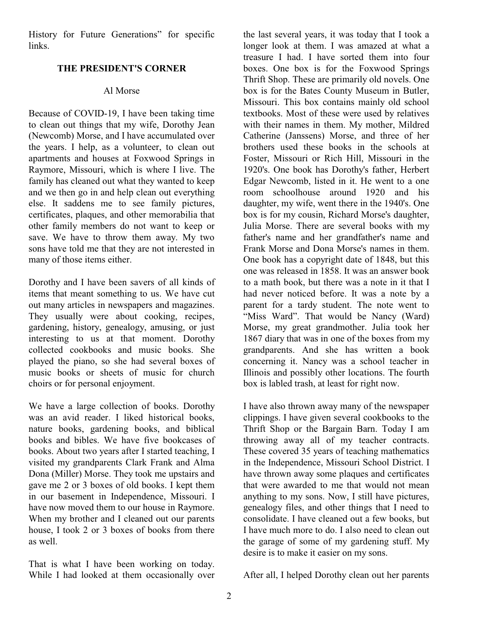History for Future Generations" for specific links.

#### **THE PRESIDENT'S CORNER**

#### Al Morse

Because of COVID-19, I have been taking time to clean out things that my wife, Dorothy Jean (Newcomb) Morse, and I have accumulated over the years. I help, as a volunteer, to clean out apartments and houses at Foxwood Springs in Raymore, Missouri, which is where I live. The family has cleaned out what they wanted to keep and we then go in and help clean out everything else. It saddens me to see family pictures, certificates, plaques, and other memorabilia that other family members do not want to keep or save. We have to throw them away. My two sons have told me that they are not interested in many of those items either.

Dorothy and I have been savers of all kinds of items that meant something to us. We have cut out many articles in newspapers and magazines. They usually were about cooking, recipes, gardening, history, genealogy, amusing, or just interesting to us at that moment. Dorothy collected cookbooks and music books. She played the piano, so she had several boxes of music books or sheets of music for church choirs or for personal enjoyment.

We have a large collection of books. Dorothy was an avid reader. I liked historical books, nature books, gardening books, and biblical books and bibles. We have five bookcases of books. About two years after I started teaching, I visited my grandparents Clark Frank and Alma Dona (Miller) Morse. They took me upstairs and gave me 2 or 3 boxes of old books. I kept them in our basement in Independence, Missouri. I have now moved them to our house in Raymore. When my brother and I cleaned out our parents house, I took 2 or 3 boxes of books from there as well.

That is what I have been working on today. While I had looked at them occasionally over the last several years, it was today that I took a longer look at them. I was amazed at what a treasure I had. I have sorted them into four boxes. One box is for the Foxwood Springs Thrift Shop. These are primarily old novels. One box is for the Bates County Museum in Butler, Missouri. This box contains mainly old school textbooks. Most of these were used by relatives with their names in them. My mother, Mildred Catherine (Janssens) Morse, and three of her brothers used these books in the schools at Foster, Missouri or Rich Hill, Missouri in the 1920's. One book has Dorothy's father, Herbert Edgar Newcomb, listed in it. He went to a one room schoolhouse around 1920 and his daughter, my wife, went there in the 1940's. One box is for my cousin, Richard Morse's daughter, Julia Morse. There are several books with my father's name and her grandfather's name and Frank Morse and Dona Morse's names in them. One book has a copyright date of 1848, but this one was released in 1858. It was an answer book to a math book, but there was a note in it that I had never noticed before. It was a note by a parent for a tardy student. The note went to "Miss Ward". That would be Nancy (Ward) Morse, my great grandmother. Julia took her 1867 diary that was in one of the boxes from my grandparents. And she has written a book concerning it. Nancy was a school teacher in Illinois and possibly other locations. The fourth box is labled trash, at least for right now.

I have also thrown away many of the newspaper clippings. I have given several cookbooks to the Thrift Shop or the Bargain Barn. Today I am throwing away all of my teacher contracts. These covered 35 years of teaching mathematics in the Independence, Missouri School District. I have thrown away some plaques and certificates that were awarded to me that would not mean anything to my sons. Now, I still have pictures, genealogy files, and other things that I need to consolidate. I have cleaned out a few books, but I have much more to do. I also need to clean out the garage of some of my gardening stuff. My desire is to make it easier on my sons.

After all, I helped Dorothy clean out her parents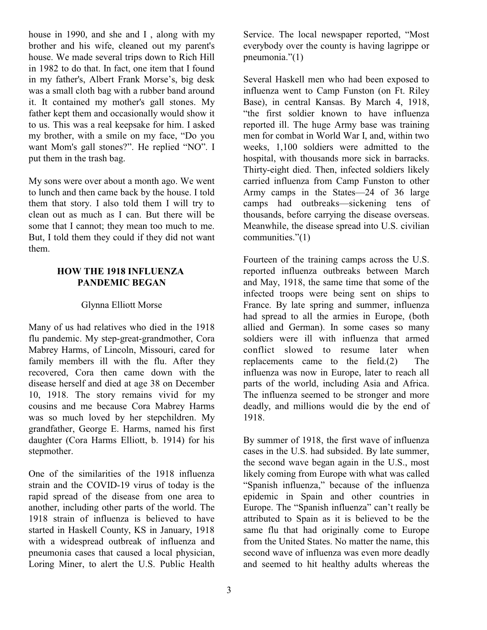house in 1990, and she and I , along with my brother and his wife, cleaned out my parent's house. We made several trips down to Rich Hill in 1982 to do that. In fact, one item that I found in my father's, Albert Frank Morse's, big desk was a small cloth bag with a rubber band around it. It contained my mother's gall stones. My father kept them and occasionally would show it to us. This was a real keepsake for him. I asked my brother, with a smile on my face, "Do you want Mom's gall stones?". He replied "NO". I put them in the trash bag.

My sons were over about a month ago. We went to lunch and then came back by the house. I told them that story. I also told them I will try to clean out as much as I can. But there will be some that I cannot; they mean too much to me. But, I told them they could if they did not want them.

#### **HOW THE 1918 INFLUENZA PANDEMIC BEGAN**

# Glynna Elliott Morse

Many of us had relatives who died in the 1918 flu pandemic. My step-great-grandmother, Cora Mabrey Harms, of Lincoln, Missouri, cared for family members ill with the flu. After they recovered, Cora then came down with the disease herself and died at age 38 on December 10, 1918. The story remains vivid for my cousins and me because Cora Mabrey Harms was so much loved by her stepchildren. My grandfather, George E. Harms, named his first daughter (Cora Harms Elliott, b. 1914) for his stepmother.

One of the similarities of the 1918 influenza strain and the COVID-19 virus of today is the rapid spread of the disease from one area to another, including other parts of the world. The 1918 strain of influenza is believed to have started in Haskell County, KS in January, 1918 with a widespread outbreak of influenza and pneumonia cases that caused a local physician, Loring Miner, to alert the U.S. Public Health

Service. The local newspaper reported, "Most everybody over the county is having lagrippe or pneumonia."(1)

Several Haskell men who had been exposed to influenza went to Camp Funston (on Ft. Riley Base), in central Kansas. By March 4, 1918, "the first soldier known to have influenza reported ill. The huge Army base was training men for combat in World War I, and, within two weeks, 1,100 soldiers were admitted to the hospital, with thousands more sick in barracks. Thirty-eight died. Then, infected soldiers likely carried influenza from Camp Funston to other Army camps in the States—24 of 36 large camps had outbreaks—sickening tens of thousands, before carrying the disease overseas. Meanwhile, the disease spread into U.S. civilian communities."(1)

Fourteen of the training camps across the U.S. reported influenza outbreaks between March and May, 1918, the same time that some of the infected troops were being sent on ships to France. By late spring and summer, influenza had spread to all the armies in Europe, (both allied and German). In some cases so many soldiers were ill with influenza that armed conflict slowed to resume later when replacements came to the field.(2) The influenza was now in Europe, later to reach all parts of the world, including Asia and Africa. The influenza seemed to be stronger and more deadly, and millions would die by the end of 1918.

By summer of 1918, the first wave of influenza cases in the U.S. had subsided. By late summer, the second wave began again in the U.S., most likely coming from Europe with what was called "Spanish influenza," because of the influenza epidemic in Spain and other countries in Europe. The "Spanish influenza" can't really be attributed to Spain as it is believed to be the same flu that had originally come to Europe from the United States. No matter the name, this second wave of influenza was even more deadly and seemed to hit healthy adults whereas the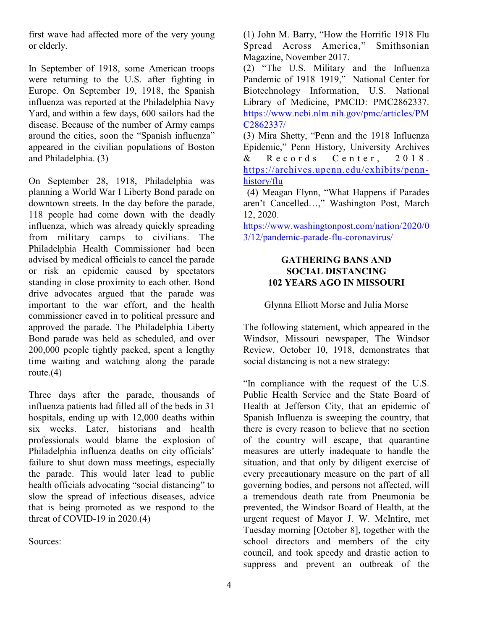first wave had affected more of the very young or elderly.

In September of 1918, some American troops were returning to the U.S. after fighting in Europe. On September 19, 1918, the Spanish influenza was reported at the Philadelphia Navy Yard, and within a few days, 600 sailors had the disease. Because of the number of Army camps around the cities, soon the "Spanish influenza" appeared in the civilian populations of Boston and Philadelphia. (3)

On September 28, 1918, Philadelphia was planning a World War I Liberty Bond parade on downtown streets. In the day before the parade, 118 people had come down with the deadly influenza, which was already quickly spreading from military camps to civilians. The Philadelphia Health Commissioner had been advised by medical officials to cancel the parade or risk an epidemic caused by spectators standing in close proximity to each other. Bond drive advocates argued that the parade was important to the war effort, and the health commissioner caved in to political pressure and approved the parade. The Philadelphia Liberty Bond parade was held as scheduled, and over 200,000 people tightly packed, spent a lengthy time waiting and watching along the parade route. $(4)$ 

Three days after the parade, thousands of influenza patients had filled all of the beds in 31 hospitals, ending up with 12,000 deaths within six weeks. Later, historians and health professionals would blame the explosion of Philadelphia influenza deaths on city officials' failure to shut down mass meetings, especially the parade. This would later lead to public health officials advocating "social distancing" to slow the spread of infectious diseases, advice that is being promoted as we respond to the threat of COVID-19 in  $2020(4)$ 

Sources:

(1) John M. Barry, "How the Horrific 1918 Flu Spread Across America," Smithsonian Magazine, November 2017.

(2) "The U.S. Military and the Influenza Pandemic of 1918–1919," National Center for Biotechnology Information, U.S. National Library of Medicine, PMCID: PMC2862337. https://www.ncbi.nlm.nih.gov/pmc/articles/PM C2862337/

(3) Mira Shetty, "Penn and the 1918 Influenza Epidemic," Penn History, University Archives & Records Center, 2018. [https://archives.upenn.edu/exhibits/penn](https://archives.upenn.edu/exhibits/penn-history/flu)[history/flu](https://archives.upenn.edu/exhibits/penn-history/flu)

(4) Meagan Flynn, "What Happens if Parades aren't Cancelled…," Washington Post, March 12, 2020.

https://www.washingtonpost.com/nation/2020/0 3/12/pandemic-parade-flu-coronavirus/

#### **GATHERING BANS AND SOCIAL DISTANCING 102 YEARS AGO IN MISSOURI**

# Glynna Elliott Morse and Julia Morse

The following statement, which appeared in the Windsor, Missouri newspaper, The Windsor Review, October 10, 1918, demonstrates that social distancing is not a new strategy:

"In compliance with the request of the U.S. Public Health Service and the State Board of Health at Jefferson City, that an epidemic of Spanish Influenza is sweeping the country, that there is every reason to believe that no section of the country will escape¸ that quarantine measures are utterly inadequate to handle the situation, and that only by diligent exercise of every precautionary measure on the part of all governing bodies, and persons not affected, will a tremendous death rate from Pneumonia be prevented, the Windsor Board of Health, at the urgent request of Mayor J. W. McIntire, met Tuesday morning [October 8], together with the school directors and members of the city council, and took speedy and drastic action to suppress and prevent an outbreak of the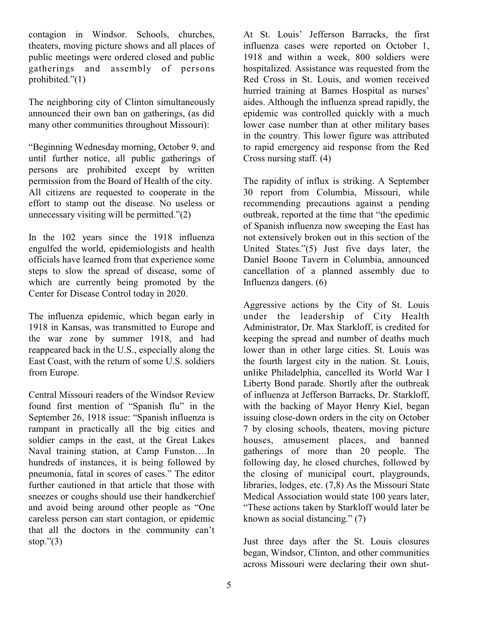contagion in Windsor. Schools, churches, theaters, moving picture shows and all places of public meetings were ordered closed and public gatherings and assembly of persons prohibited."(1)

The neighboring city of Clinton simultaneously announced their own ban on gatherings, (as did many other communities throughout Missouri):

"Beginning Wednesday morning, October 9, and until further notice, all public gatherings of persons are prohibited except by written permission from the Board of Health of the city. All citizens are requested to cooperate in the effort to stamp out the disease. No useless or unnecessary visiting will be permitted."(2)

In the 102 years since the 1918 influenza engulfed the world, epidemiologists and health officials have learned from that experience some steps to slow the spread of disease, some of which are currently being promoted by the Center for Disease Control today in 2020.

The influenza epidemic, which began early in 1918 in Kansas, was transmitted to Europe and the war zone by summer 1918, and had reappeared back in the U.S., especially along the East Coast, with the return of some U.S. soldiers from Europe.

Central Missouri readers of the Windsor Review found first mention of "Spanish flu" in the September 26, 1918 issue: "Spanish influenza is rampant in practically all the big cities and soldier camps in the east, at the Great Lakes Naval training station, at Camp Funston….In hundreds of instances, it is being followed by pneumonia, fatal in scores of cases." The editor further cautioned in that article that those with sneezes or coughs should use their handkerchief and avoid being around other people as "One careless person can start contagion, or epidemic that all the doctors in the community can't stop." $(3)$ 

At St. Louis' Jefferson Barracks, the first influenza cases were reported on October 1, 1918 and within a week, 800 soldiers were hospitalized. Assistance was requested from the Red Cross in St. Louis, and women received hurried training at Barnes Hospital as nurses' aides. Although the influenza spread rapidly, the epidemic was controlled quickly with a much lower case number than at other military bases in the country. This lower figure was attributed to rapid emergency aid response from the Red Cross nursing staff. (4)

The rapidity of influx is striking. A September 30 report from Columbia, Missouri, while recommending precautions against a pending outbreak, reported at the time that "the epedimic of Spanish influenza now sweeping the East has not extensively broken out in this section of the United States."(5) Just five days later, the Daniel Boone Tavern in Columbia, announced cancellation of a planned assembly due to Influenza dangers. (6)

Aggressive actions by the City of St. Louis under the leadership of City Health Administrator, Dr. Max Starkloff, is credited for keeping the spread and number of deaths much lower than in other large cities. St. Louis was the fourth largest city in the nation. St. Louis, unlike Philadelphia, cancelled its World War I Liberty Bond parade. Shortly after the outbreak of influenza at Jefferson Barracks, Dr. Starkloff, with the backing of Mayor Henry Kiel, began issuing close-down orders in the city on October 7 by closing schools, theaters, moving picture houses, amusement places, and banned gatherings of more than 20 people. The following day, he closed churches, followed by the closing of municipal court, playgrounds, libraries, lodges, etc. (7,8) As the Missouri State Medical Association would state 100 years later, "These actions taken by Starkloff would later be known as social distancing." (7)

Just three days after the St. Louis closures began, Windsor, Clinton, and other communities across Missouri were declaring their own shut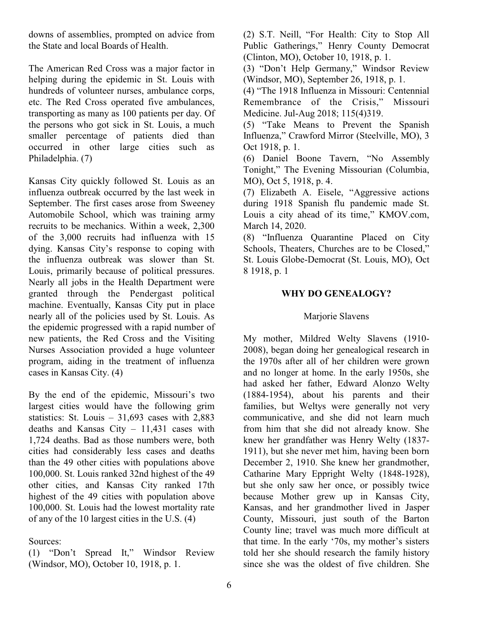downs of assemblies, prompted on advice from the State and local Boards of Health.

The American Red Cross was a major factor in helping during the epidemic in St. Louis with hundreds of volunteer nurses, ambulance corps, etc. The Red Cross operated five ambulances, transporting as many as 100 patients per day. Of the persons who got sick in St. Louis, a much smaller percentage of patients died than occurred in other large cities such as Philadelphia. (7)

Kansas City quickly followed St. Louis as an influenza outbreak occurred by the last week in September. The first cases arose from Sweeney Automobile School, which was training army recruits to be mechanics. Within a week, 2,300 of the 3,000 recruits had influenza with 15 dying. Kansas City's response to coping with the influenza outbreak was slower than St. Louis, primarily because of political pressures. Nearly all jobs in the Health Department were granted through the Pendergast political machine. Eventually, Kansas City put in place nearly all of the policies used by St. Louis. As the epidemic progressed with a rapid number of new patients, the Red Cross and the Visiting Nurses Association provided a huge volunteer program, aiding in the treatment of influenza cases in Kansas City. (4)

By the end of the epidemic, Missouri's two largest cities would have the following grim statistics: St. Louis  $-31,693$  cases with 2,883 deaths and Kansas City – 11,431 cases with 1,724 deaths. Bad as those numbers were, both cities had considerably less cases and deaths than the 49 other cities with populations above 100,000. St. Louis ranked 32nd highest of the 49 other cities, and Kansas City ranked 17th highest of the 49 cities with population above 100,000. St. Louis had the lowest mortality rate of any of the 10 largest cities in the U.S. (4)

Sources:

(1) "Don't Spread It," Windsor Review (Windsor, MO), October 10, 1918, p. 1.

(2) S.T. Neill, "For Health: City to Stop All Public Gatherings," Henry County Democrat (Clinton, MO), October 10, 1918, p. 1.

(3) "Don't Help Germany," Windsor Review (Windsor, MO), September 26, 1918, p. 1.

(4) "The 1918 Influenza in Missouri: Centennial Remembrance of the Crisis," Missouri Medicine. Jul-Aug 2018; 115(4)319.

(5) "Take Means to Prevent the Spanish Influenza," Crawford Mirror (Steelville, MO), 3 Oct 1918, p. 1.

(6) Daniel Boone Tavern, "No Assembly Tonight," The Evening Missourian (Columbia, MO), Oct 5, 1918, p. 4.

(7) Elizabeth A. Eisele, "Aggressive actions during 1918 Spanish flu pandemic made St. Louis a city ahead of its time," KMOV.com, March 14, 2020.

(8) "Influenza Quarantine Placed on City Schools, Theaters, Churches are to be Closed," St. Louis Globe-Democrat (St. Louis, MO), Oct 8 1918, p. 1

#### **WHY DO GENEALOGY?**

#### Marjorie Slavens

My mother, Mildred Welty Slavens (1910- 2008), began doing her genealogical research in the 1970s after all of her children were grown and no longer at home. In the early 1950s, she had asked her father, Edward Alonzo Welty (1884-1954), about his parents and their families, but Weltys were generally not very communicative, and she did not learn much from him that she did not already know. She knew her grandfather was Henry Welty (1837- 1911), but she never met him, having been born December 2, 1910. She knew her grandmother, Catharine Mary Eppright Welty (1848-1928), but she only saw her once, or possibly twice because Mother grew up in Kansas City, Kansas, and her grandmother lived in Jasper County, Missouri, just south of the Barton County line; travel was much more difficult at that time. In the early '70s, my mother's sisters told her she should research the family history since she was the oldest of five children. She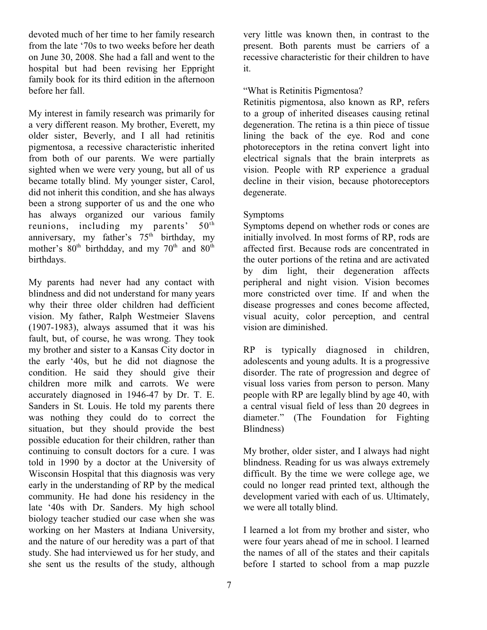devoted much of her time to her family research from the late '70s to two weeks before her death on June 30, 2008. She had a fall and went to the hospital but had been revising her Eppright family book for its third edition in the afternoon before her fall.

My interest in family research was primarily for a very different reason. My brother, Everett, my older sister, Beverly, and I all had retinitis pigmentosa, a recessive characteristic inherited from both of our parents. We were partially sighted when we were very young, but all of us became totally blind. My younger sister, Carol, did not inherit this condition, and she has always been a strong supporter of us and the one who has always organized our various family reunions, including my parents'  $50^{\text{th}}$ anniversary, my father's  $75<sup>th</sup>$  birthday, my mother's  $80<sup>th</sup>$  birthdday, and my  $70<sup>th</sup>$  and  $80<sup>th</sup>$ birthdays.

My parents had never had any contact with blindness and did not understand for many years why their three older children had defficient vision. My father, Ralph Westmeier Slavens (1907-1983), always assumed that it was his fault, but, of course, he was wrong. They took my brother and sister to a Kansas City doctor in the early '40s, but he did not diagnose the condition. He said they should give their children more milk and carrots. We were accurately diagnosed in 1946-47 by Dr. T. E. Sanders in St. Louis. He told my parents there was nothing they could do to correct the situation, but they should provide the best possible education for their children, rather than continuing to consult doctors for a cure. I was told in 1990 by a doctor at the University of Wisconsin Hospital that this diagnosis was very early in the understanding of RP by the medical community. He had done his residency in the late '40s with Dr. Sanders. My high school biology teacher studied our case when she was working on her Masters at Indiana University, and the nature of our heredity was a part of that study. She had interviewed us for her study, and she sent us the results of the study, although

very little was known then, in contrast to the present. Both parents must be carriers of a recessive characteristic for their children to have it.

#### "What is Retinitis Pigmentosa?

Retinitis pigmentosa, also known as RP, refers to a group of inherited diseases causing retinal degeneration. The retina is a thin piece of tissue lining the back of the eye. Rod and cone photoreceptors in the retina convert light into electrical signals that the brain interprets as vision. People with RP experience a gradual decline in their vision, because photoreceptors degenerate.

# Symptoms

Symptoms depend on whether rods or cones are initially involved. In most forms of RP, rods are affected first. Because rods are concentrated in the outer portions of the retina and are activated by dim light, their degeneration affects peripheral and night vision. Vision becomes more constricted over time. If and when the disease progresses and cones become affected, visual acuity, color perception, and central vision are diminished.

RP is typically diagnosed in children, adolescents and young adults. It is a progressive disorder. The rate of progression and degree of visual loss varies from person to person. Many people with RP are legally blind by age 40, with a central visual field of less than 20 degrees in diameter." (The Foundation for Fighting Blindness)

My brother, older sister, and I always had night blindness. Reading for us was always extremely difficult. By the time we were college age, we could no longer read printed text, although the development varied with each of us. Ultimately, we were all totally blind.

I learned a lot from my brother and sister, who were four years ahead of me in school. I learned the names of all of the states and their capitals before I started to school from a map puzzle